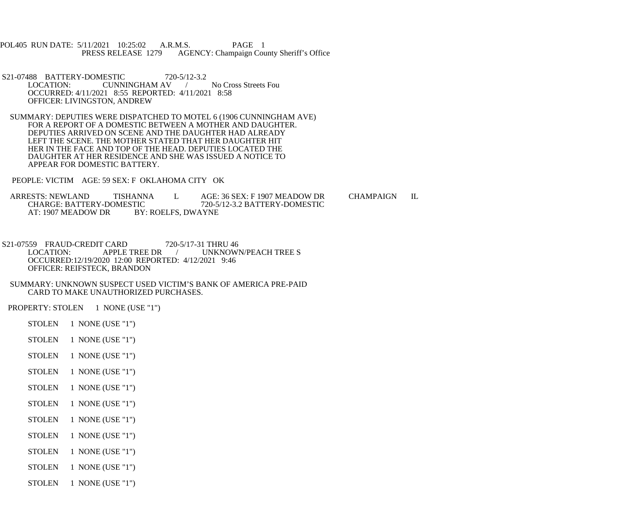- POL405 RUN DATE: 5/11/2021 10:25:02 A.R.M.S. PAGE 1<br>PRESS RELEASE 1279 AGENCY: Champaign Cou AGENCY: Champaign County Sheriff's Office
- S21-07488 BATTERY-DOMESTIC 720-5/12-3.2<br>LOCATION: CUNNINGHAM AV LOCATION: CUNNINGHAM AV / No Cross Streets Fou OCCURRED: 4/11/2021 8:55 REPORTED: 4/11/2021 8:58 OFFICER: LIVINGSTON, ANDREW
- SUMMARY: DEPUTIES WERE DISPATCHED TO MOTEL 6 (1906 CUNNINGHAM AVE) FOR A REPORT OF A DOMESTIC BETWEEN A MOTHER AND DAUGHTER. DEPUTIES ARRIVED ON SCENE AND THE DAUGHTER HAD ALREADY LEFT THE SCENE. THE MOTHER STATED THAT HER DAUGHTER HIT HER IN THE FACE AND TOP OF THE HEAD. DEPUTIES LOCATED THE DAUGHTER AT HER RESIDENCE AND SHE WAS ISSUED A NOTICE TO APPEAR FOR DOMESTIC BATTERY.
- PEOPLE: VICTIM AGE: 59 SEX: F OKLAHOMA CITY OK
- ARRESTS: NEWLAND TISHANNA L AGE: 36 SEX: F 1907 MEADOW DR CHAMPAIGN IL CHARGE: BATTERY-DOMESTIC 720-5/12-3.2 BATTERY-DOMESTIC CHARGE: BATTERY-DOMESTIC 720-5/12-3.2 BATTERY-DOMESTIC<br>AT: 1907 MEADOW DR BY: ROELFS. DWAYNE BY: ROELFS, DWAYNE
- S21-07559 FRAUD-CREDIT CARD 720-5/17-31 THRU 46<br>LOCATION: APPLE TREE DR / UNKNOWI UNKNOWN/PEACH TREE S OCCURRED:12/19/2020 12:00 REPORTED: 4/12/2021 9:46 OFFICER: REIFSTECK, BRANDON
- SUMMARY: UNKNOWN SUSPECT USED VICTIM'S BANK OF AMERICA PRE-PAID CARD TO MAKE UNAUTHORIZED PURCHASES.
- PROPERTY: STOLEN 1 NONE (USE "1")
	- STOLEN 1 NONE (USE "1")
	- STOLEN 1 NONE (USE "1")
	- STOLEN 1 NONE (USE "1")
	- STOLEN 1 NONE (USE "1")
	- STOLEN 1 NONE (USE "1")
	- STOLEN 1 NONE (USE "1")
	- STOLEN 1 NONE (USE "1")
	- STOLEN 1 NONE (USE "1")
	- STOLEN 1 NONE (USE "1")
	- STOLEN 1 NONE (USE "1")
	- STOLEN 1 NONE (USE "1")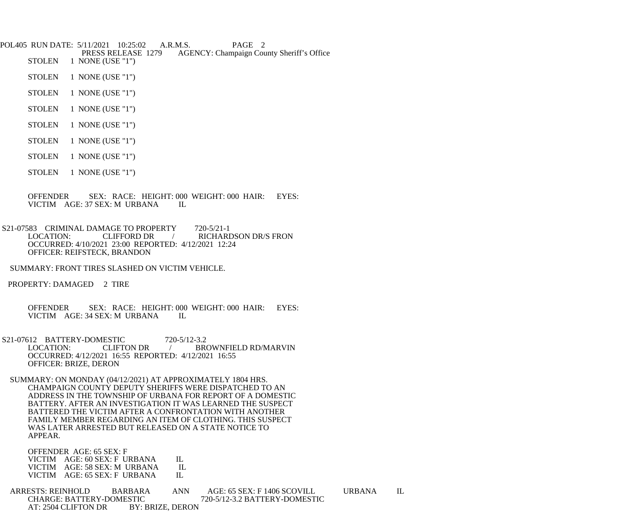POL405 RUN DATE: 5/11/2021 10:25:02 A.R.M.S. PAGE 2<br>PRESS RELEASE 1279 AGENCY: Champaign Cou PRESS RELEASE 1279 AGENCY: Champaign County Sheriff's Office<br>STOLEN 1 NONE (USE "1")

- 1 NONE (USE "1")
- STOLEN 1 NONE (USE "1")
- STOLEN 1 NONE (USE "1")
- STOLEN 1 NONE (USE "1")
- STOLEN 1 NONE (USE "1")
- STOLEN 1 NONE (USE "1")
- STOLEN 1 NONE (USE "1")
- STOLEN 1 NONE (USE "1")
- OFFENDER SEX: RACE: HEIGHT: 000 WEIGHT: 000 HAIR: EYES: VICTIM AGE: 37 SEX: M URBANA IL
- S21-07583 CRIMINAL DAMAGE TO PROPERTY 720-5/21-1<br>LOCATION: CLIFFORD DR / RICHARI CLIFFORD DR / RICHARDSON DR/S FRON OCCURRED: 4/10/2021 23:00 REPORTED: 4/12/2021 12:24 OFFICER: REIFSTECK, BRANDON
	- SUMMARY: FRONT TIRES SLASHED ON VICTIM VEHICLE.
- PROPERTY: DAMAGED 2 TIRE
	- OFFENDER SEX: RACE: HEIGHT: 000 WEIGHT: 000 HAIR: EYES: VICTIM AGE: 34 SEX: M URBANA IL
- S21-07612 BATTERY-DOMESTIC 720-5/12-3.2<br>LOCATION: CLIFTON DR / BR / BROWNFIELD RD/MARVIN OCCURRED: 4/12/2021 16:55 REPORTED: 4/12/2021 16:55 OFFICER: BRIZE, DERON
- SUMMARY: ON MONDAY (04/12/2021) AT APPROXIMATELY 1804 HRS. CHAMPAIGN COUNTY DEPUTY SHERIFFS WERE DISPATCHED TO AN ADDRESS IN THE TOWNSHIP OF URBANA FOR REPORT OF A DOMESTIC BATTERY. AFTER AN INVESTIGATION IT WAS LEARNED THE SUSPECT BATTERED THE VICTIM AFTER A CONFRONTATION WITH ANOTHER FAMILY MEMBER REGARDING AN ITEM OF CLOTHING. THIS SUSPECT WAS LATER ARRESTED BUT RELEASED ON A STATE NOTICE TO APPEAR.

OFFENDER AGE: 65 SEX: F

| VICTIM AGE: 60 SEX: F URBANA | - IL -  |
|------------------------------|---------|
| VICTIM AGE: 58 SEX: M URBANA | H.      |
| VICTIM AGE: 65 SEX: F URBANA | $\Pi$ . |

- ARRESTS: REINHOLD BARBARA ANN AGE: 65 SEX: F 1406 SCOVILL URBANA IL CHARGE: BATTERY-DOMESTIC 720-5/12-3.2 BATTERY-DOMESTIC<br>AT: 2504 CLIFTON DR BY: BRIZE, DERON AT: 2504 CLIFTON DR
	-